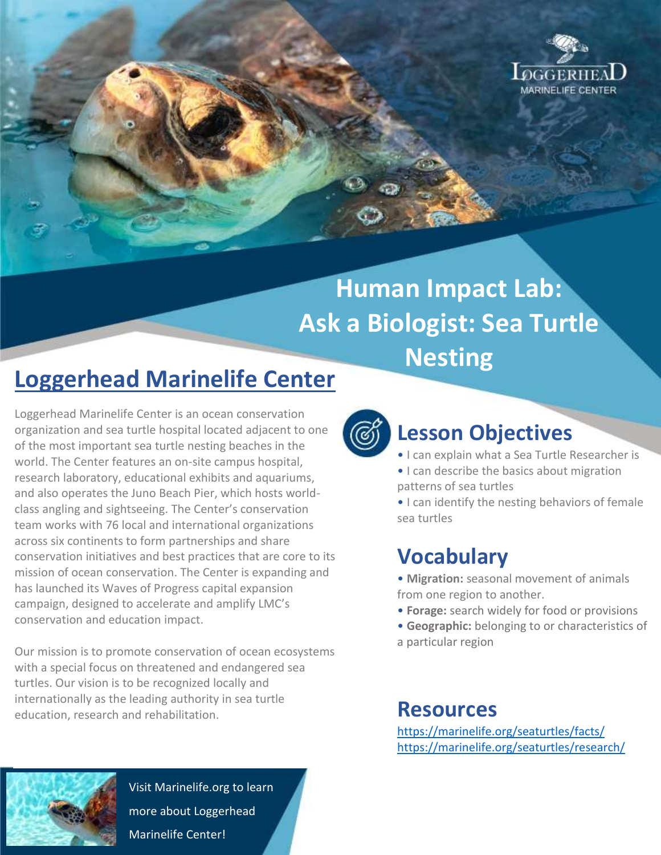

# **Human Impact Lab: Ask a Biologist: Sea Turtle Nesting**

## **Loggerhead Marinelife Center**

Loggerhead Marinelife Center is an ocean conservation organization and sea turtle hospital located adjacent to one of the most important sea turtle nesting beaches in the world. The Center features an on-site campus hospital, research laboratory, educational exhibits and aquariums, and also operates the Juno Beach Pier, which hosts worldclass angling and sightseeing. The Center's conservation team works with 76 local and international organizations across six continents to form partnerships and share conservation initiatives and best practices that are core to its mission of ocean conservation. The Center is expanding and has launched its Waves of Progress capital expansion campaign, designed to accelerate and amplify LMC's conservation and education impact.

Our mission is to promote conservation of ocean ecosystems with a special focus on threatened and endangered sea turtles. Our vision is to be recognized locally and internationally as the leading authority in sea turtle education, research and rehabilitation.



## **Lesson Objectives**

- I can explain what a Sea Turtle Researcher is
- I can describe the basics about migration patterns of sea turtles

• I can identify the nesting behaviors of female sea turtles

## **Vocabulary**

- **Migration:** seasonal movement of animals from one region to another.
- **Forage:** search widely for food or provisions
- **Geographic:** belonging to or characteristics of a particular region

#### **Resources**

<https://marinelife.org/seaturtles/facts/> <https://marinelife.org/seaturtles/research/>



Visit Marinelife.org to learn more about Loggerhead Marinelife Center!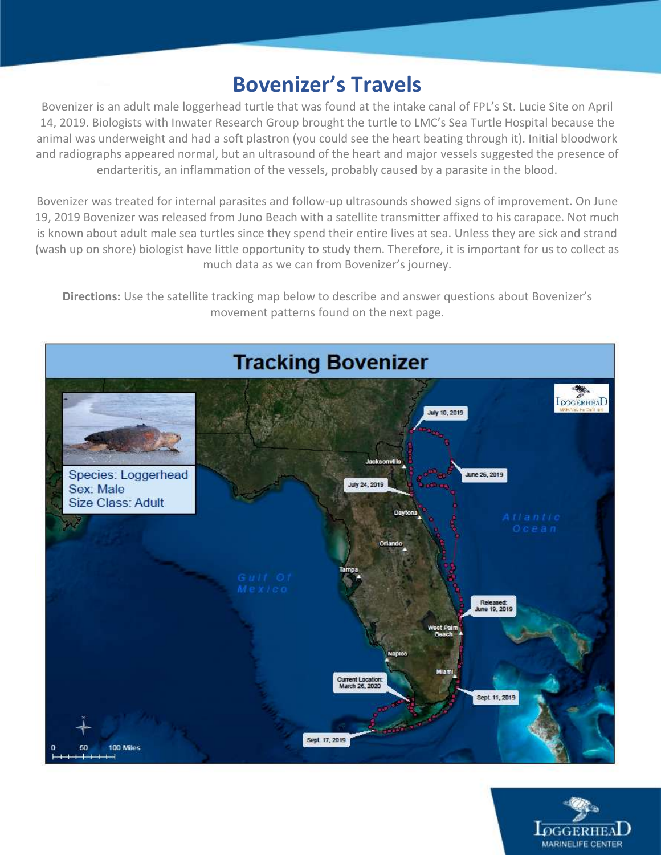### **Bovenizer's Travels**

Bovenizer is an adult male loggerhead turtle that was found at the intake canal of FPL's St. Lucie Site on April 14, 2019. Biologists with Inwater Research Group brought the turtle to LMC's Sea Turtle Hospital because the animal was underweight and had a soft plastron (you could see the heart beating through it). Initial bloodwork and radiographs appeared normal, but an ultrasound of the heart and major vessels suggested the presence of endarteritis, an inflammation of the vessels, probably caused by a parasite in the blood.

Bovenizer was treated for internal parasites and follow-up ultrasounds showed signs of improvement. On June 19, 2019 Bovenizer was released from Juno Beach with a satellite transmitter affixed to his carapace. Not much is known about adult male sea turtles since they spend their entire lives at sea. Unless they are sick and strand (wash up on shore) biologist have little opportunity to study them. Therefore, it is important for us to collect as much data as we can from Bovenizer's journey.

**Directions:** Use the satellite tracking map below to describe and answer questions about Bovenizer's movement patterns found on the next page.



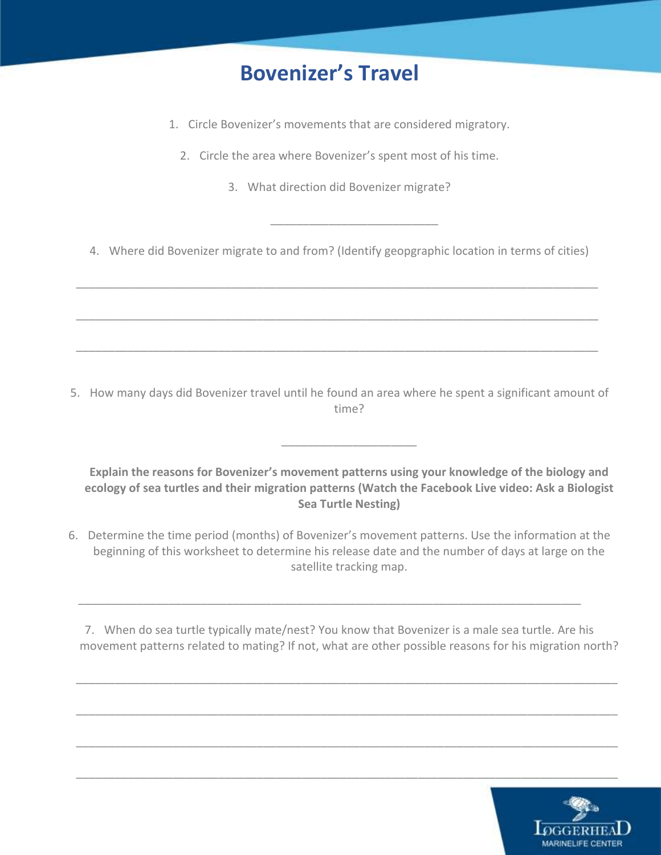## **Bovenizer's Travel**

- 1. Circle Bovenizer's movements that are considered migratory.
	- 2. Circle the area where Bovenizer's spent most of his time.
		- 3. What direction did Bovenizer migrate?

4. Where did Bovenizer migrate to and from? (Identify geopgraphic location in terms of cities)

\_\_\_\_\_\_\_\_\_\_\_\_\_\_\_\_\_\_\_\_\_\_\_\_\_\_\_\_\_\_\_\_\_\_\_\_\_\_\_\_\_\_\_\_\_\_\_\_\_\_\_\_\_\_\_\_\_\_\_\_\_\_\_\_\_\_\_\_\_\_\_\_\_\_\_\_\_\_\_\_\_

\_\_\_\_\_\_\_\_\_\_\_\_\_\_\_\_\_\_\_\_\_\_\_\_\_\_\_\_\_\_\_\_\_\_\_\_\_\_\_\_\_\_\_\_\_\_\_\_\_\_\_\_\_\_\_\_\_\_\_\_\_\_\_\_\_\_\_\_\_\_\_\_\_\_\_\_\_\_\_\_\_

\_\_\_\_\_\_\_\_\_\_\_\_\_\_\_\_\_\_\_\_\_\_\_\_\_\_\_\_\_\_\_\_\_\_\_\_\_\_\_\_\_\_\_\_\_\_\_\_\_\_\_\_\_\_\_\_\_\_\_\_\_\_\_\_\_\_\_\_\_\_\_\_\_\_\_\_\_\_\_\_\_

\_\_\_\_\_\_\_\_\_\_\_\_\_\_\_\_\_\_\_\_\_\_\_\_\_\_

5. How many days did Bovenizer travel until he found an area where he spent a significant amount of time?

**Explain the reasons for Bovenizer's movement patterns using your knowledge of the biology and ecology of sea turtles and their migration patterns (Watch the Facebook Live video: Ask a Biologist Sea Turtle Nesting)** 

\_\_\_\_\_\_\_\_\_\_\_\_\_\_\_\_\_\_\_\_\_

6. Determine the time period (months) of Bovenizer's movement patterns. Use the information at the beginning of this worksheet to determine his release date and the number of days at large on the satellite tracking map.

\_\_\_\_\_\_\_\_\_\_\_\_\_\_\_\_\_\_\_\_\_\_\_\_\_\_\_\_\_\_\_\_\_\_\_\_\_\_\_\_\_\_\_\_\_\_\_\_\_\_\_\_\_\_\_\_\_\_\_\_\_\_\_\_\_\_\_\_\_\_\_\_\_\_\_\_\_\_

7. When do sea turtle typically mate/nest? You know that Bovenizer is a male sea turtle. Are his movement patterns related to mating? If not, what are other possible reasons for his migration north?

\_\_\_\_\_\_\_\_\_\_\_\_\_\_\_\_\_\_\_\_\_\_\_\_\_\_\_\_\_\_\_\_\_\_\_\_\_\_\_\_\_\_\_\_\_\_\_\_\_\_\_\_\_\_\_\_\_\_\_\_\_\_\_\_\_\_\_\_\_\_\_\_\_\_\_\_\_\_\_\_\_\_\_\_

\_\_\_\_\_\_\_\_\_\_\_\_\_\_\_\_\_\_\_\_\_\_\_\_\_\_\_\_\_\_\_\_\_\_\_\_\_\_\_\_\_\_\_\_\_\_\_\_\_\_\_\_\_\_\_\_\_\_\_\_\_\_\_\_\_\_\_\_\_\_\_\_\_\_\_\_\_\_\_\_\_\_\_\_

\_\_\_\_\_\_\_\_\_\_\_\_\_\_\_\_\_\_\_\_\_\_\_\_\_\_\_\_\_\_\_\_\_\_\_\_\_\_\_\_\_\_\_\_\_\_\_\_\_\_\_\_\_\_\_\_\_\_\_\_\_\_\_\_\_\_\_\_\_\_\_\_\_\_\_\_\_\_\_\_\_\_\_\_

\_\_\_\_\_\_\_\_\_\_\_\_\_\_\_\_\_\_\_\_\_\_\_\_\_\_\_\_\_\_\_\_\_\_\_\_\_\_\_\_\_\_\_\_\_\_\_\_\_\_\_\_\_\_\_\_\_\_\_\_\_\_\_\_\_\_\_\_\_\_\_\_\_\_\_\_\_\_\_\_\_\_\_\_